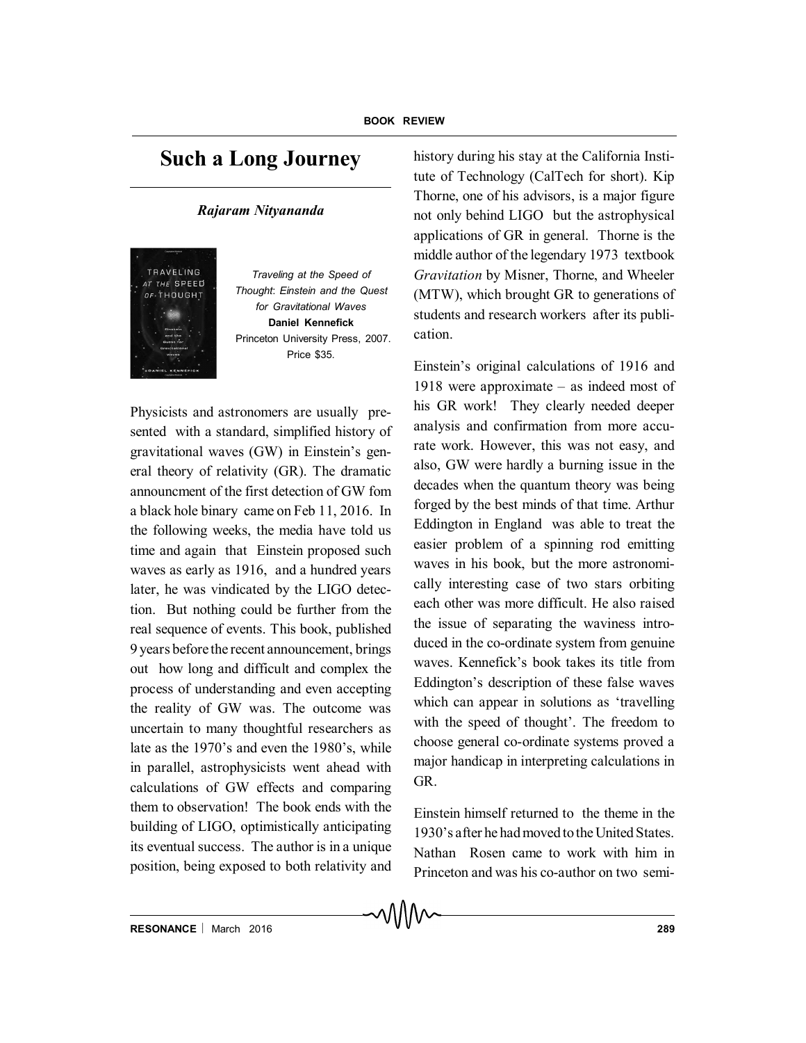## **Such a Long Journey**

## *Rajaram Nityananda*



*Traveling at the Speed of Thought*: *Einstein and the Quest for Gravitational Waves* **Daniel Kennefick** Princeton University Press, 2007. Price \$35.

Physicists and astronomers are usually presented with a standard, simplified history of gravitational waves (GW) in Einstein's general theory of relativity (GR). The dramatic announcment of the first detection of GW fom a black hole binary came on Feb 11, 2016. In the following weeks, the media have told us time and again that Einstein proposed such waves as early as 1916, and a hundred years later, he was vindicated by the LIGO detection. But nothing could be further from the real sequence of events. This book, published 9 years beforethe recent announcement, brings out how long and difficult and complex the process of understanding and even accepting the reality of GW was. The outcome was uncertain to many thoughtful researchers as late as the 1970's and even the 1980's, while in parallel, astrophysicists went ahead with calculations of GW effects and comparing them to observation! The book ends with the building of LIGO, optimistically anticipating its eventual success. The author is in a unique position, being exposed to both relativity and history during his stay at the California Institute of Technology (CalTech for short). Kip Thorne, one of his advisors, is a major figure not only behind LIGO but the astrophysical applications of GR in general. Thorne is the middle author of the legendary 1973 textbook *Gravitation* by Misner, Thorne, and Wheeler (MTW), which brought GR to generations of students and research workers after its publication.

Einstein's original calculations of 1916 and 1918 were approximate – as indeed most of his GR work! They clearly needed deeper analysis and confirmation from more accurate work. However, this was not easy, and also, GW were hardly a burning issue in the decades when the quantum theory was being forged by the best minds of that time. Arthur Eddington in England was able to treat the easier problem of a spinning rod emitting waves in his book, but the more astronomically interesting case of two stars orbiting each other was more difficult. He also raised the issue of separating the waviness introduced in the co-ordinate system from genuine waves. Kennefick's book takes its title from Eddington's description of these false waves which can appear in solutions as 'travelling with the speed of thought'. The freedom to choose general co-ordinate systems proved a major handicap in interpreting calculations in GR.

Einstein himself returned to the theme in the 1930's after he had moved to the United States. Nathan Rosen came to work with him in Princeton and was his co-author on two semi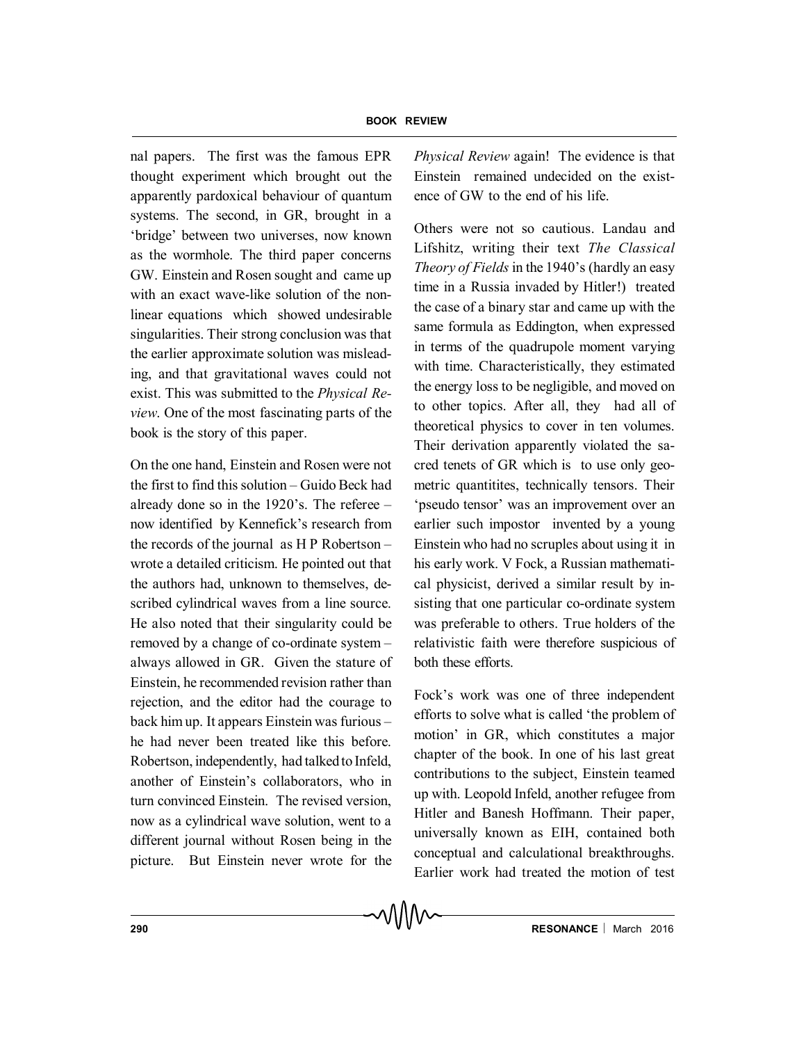nal papers. The first was the famous EPR thought experiment which brought out the apparently pardoxical behaviour of quantum systems. The second, in GR, brought in a 'bridge' between two universes, now known as the wormhole. The third paper concerns GW. Einstein and Rosen sought and came up with an exact wave-like solution of the nonlinear equations which showed undesirable singularities. Their strong conclusion was that the earlier approximate solution was misleading, and that gravitational waves could not exist. This was submitted to the *Physical Review*. One of the most fascinating parts of the book is the story of this paper.

On the one hand, Einstein and Rosen were not the first to find this solution – Guido Beck had already done so in the 1920's. The referee – now identified by Kennefick's research from the records of the journal as H P Robertson – wrote a detailed criticism. He pointed out that the authors had, unknown to themselves, described cylindrical waves from a line source. He also noted that their singularity could be removed by a change of co-ordinate system – always allowed in GR. Given the stature of Einstein, he recommended revision rather than rejection, and the editor had the courage to back him up. It appears Einstein was furious – he had never been treated like this before. Robertson, independently, had talked to Infeld, another of Einstein's collaborators, who in turn convinced Einstein. The revised version, now as a cylindrical wave solution, went to a different journal without Rosen being in the picture. But Einstein never wrote for the

*Physical Review* again! The evidence is that Einstein remained undecided on the existence of GW to the end of his life.

Others were not so cautious. Landau and Lifshitz, writing their text *The Classical Theory of Fields* in the 1940's (hardly an easy time in a Russia invaded by Hitler!) treated the case of a binary star and came up with the same formula as Eddington, when expressed in terms of the quadrupole moment varying with time. Characteristically, they estimated the energy loss to be negligible, and moved on to other topics. After all, they had all of theoretical physics to cover in ten volumes. Their derivation apparently violated the sacred tenets of GR which is to use only geometric quantitites, technically tensors. Their 'pseudo tensor' was an improvement over an earlier such impostor invented by a young Einstein who had no scruples about using it in his early work. V Fock, a Russian mathematical physicist, derived a similar result by insisting that one particular co-ordinate system was preferable to others. True holders of the relativistic faith were therefore suspicious of both these efforts.

Fock's work was one of three independent efforts to solve what is called 'the problem of motion' in GR, which constitutes a major chapter of the book. In one of his last great contributions to the subject, Einstein teamed up with. Leopold Infeld, another refugee from Hitler and Banesh Hoffmann. Their paper, universally known as EIH, contained both conceptual and calculational breakthroughs. Earlier work had treated the motion of test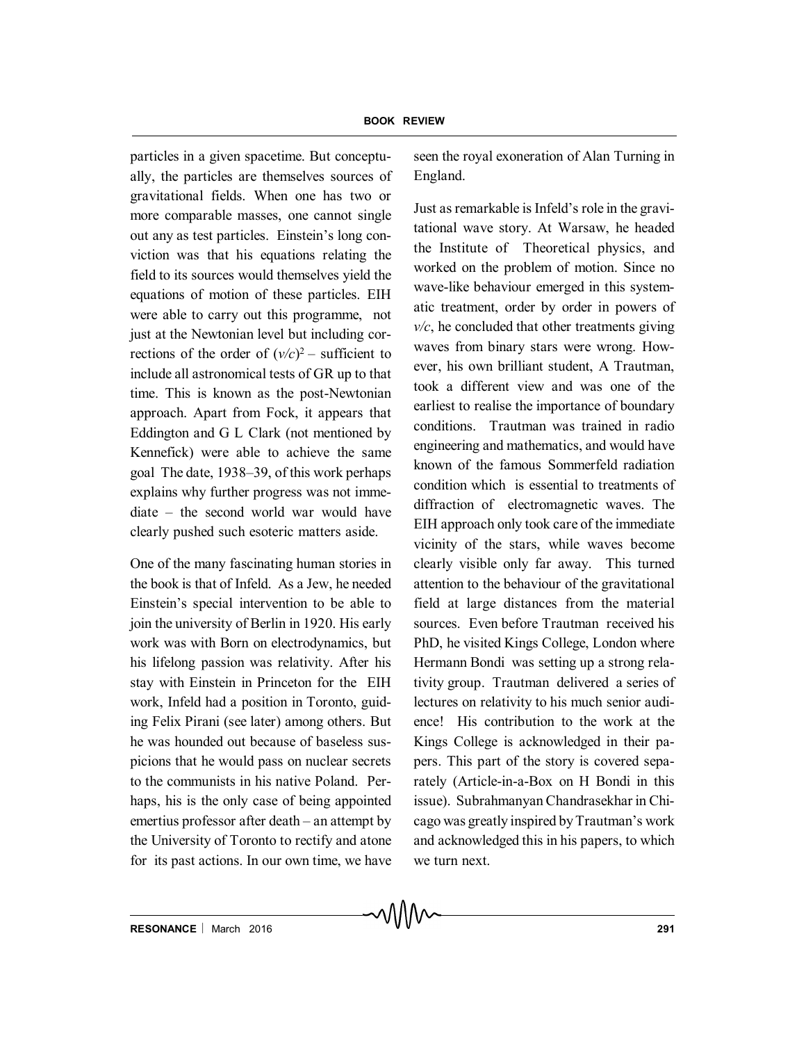particles in a given spacetime. But conceptually, the particles are themselves sources of gravitational fields. When one has two or more comparable masses, one cannot single out any as test particles. Einstein's long conviction was that his equations relating the field to its sources would themselves yield the equations of motion of these particles. EIH were able to carry out this programme, not just at the Newtonian level but including corrections of the order of  $(v/c)^2$  – sufficient to include all astronomical tests of GR up to that time. This is known as the post-Newtonian approach. Apart from Fock, it appears that Eddington and G L Clark (not mentioned by Kennefick) were able to achieve the same goal The date, 1938–39, of this work perhaps explains why further progress was not immediate – the second world war would have clearly pushed such esoteric matters aside.

One of the many fascinating human stories in the book is that of Infeld. As a Jew, he needed Einstein's special intervention to be able to join the university of Berlin in 1920. His early work was with Born on electrodynamics, but his lifelong passion was relativity. After his stay with Einstein in Princeton for the EIH work, Infeld had a position in Toronto, guiding Felix Pirani (see later) among others. But he was hounded out because of baseless suspicions that he would pass on nuclear secrets to the communists in his native Poland. Perhaps, his is the only case of being appointed emertius professor after death – an attempt by the University of Toronto to rectify and atone for its past actions. In our own time, we have seen the royal exoneration of Alan Turning in England.

Just as remarkable is Infeld's role in the gravitational wave story. At Warsaw, he headed the Institute of Theoretical physics, and worked on the problem of motion. Since no wave-like behaviour emerged in this systematic treatment, order by order in powers of  $v/c$ , he concluded that other treatments giving waves from binary stars were wrong. However, his own brilliant student, A Trautman, took a different view and was one of the earliest to realise the importance of boundary conditions. Trautman was trained in radio engineering and mathematics, and would have known of the famous Sommerfeld radiation condition which is essential to treatments of diffraction of electromagnetic waves. The EIH approach only took care of the immediate vicinity of the stars, while waves become clearly visible only far away. This turned attention to the behaviour of the gravitational field at large distances from the material sources. Even before Trautman received his PhD, he visited Kings College, London where Hermann Bondi was setting up a strong relativity group. Trautman delivered a series of lectures on relativity to his much senior audience! His contribution to the work at the Kings College is acknowledged in their papers. This part of the story is covered separately (Article-in-a-Box on H Bondi in this issue). Subrahmanyan Chandrasekhar in Chicago was greatly inspired by Trautman's work and acknowledged this in his papers, to which we turn next.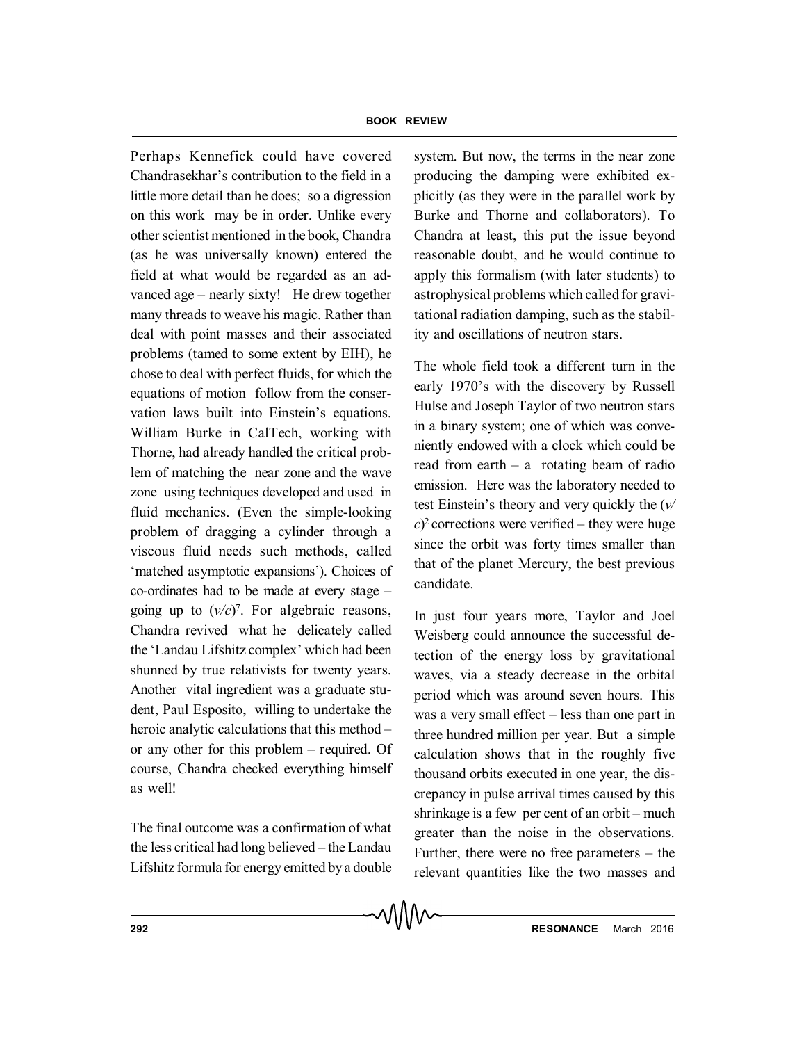Perhaps Kennefick could have covered Chandrasekhar's contribution to the field in a little more detail than he does; so a digression on this work may be in order. Unlike every other scientist mentioned in the book, Chandra (as he was universally known) entered the field at what would be regarded as an advanced age – nearly sixty! He drew together many threads to weave his magic. Rather than deal with point masses and their associated problems (tamed to some extent by EIH), he chose to deal with perfect fluids, for which the equations of motion follow from the conservation laws built into Einstein's equations. William Burke in CalTech, working with Thorne, had already handled the critical problem of matching the near zone and the wave zone using techniques developed and used in fluid mechanics. (Even the simple-looking problem of dragging a cylinder through a viscous fluid needs such methods, called 'matched asymptotic expansions'). Choices of co-ordinates had to be made at every stage – going up to  $(v/c)^7$ . For algebraic reasons, Chandra revived what he delicately called the 'Landau Lifshitz complex' which had been shunned by true relativists for twenty years. Another vital ingredient was a graduate student, Paul Esposito, willing to undertake the heroic analytic calculations that this method – or any other for this problem – required. Of course, Chandra checked everything himself as well!

The final outcome was a confirmation of what the less critical had long believed – the Landau Lifshitz formula for energy emitted by a double

system. But now, the terms in the near zone producing the damping were exhibited explicitly (as they were in the parallel work by Burke and Thorne and collaborators). To Chandra at least, this put the issue beyond reasonable doubt, and he would continue to apply this formalism (with later students) to astrophysical problems which called for gravitational radiation damping, such as the stability and oscillations of neutron stars.

The whole field took a different turn in the early 1970's with the discovery by Russell Hulse and Joseph Taylor of two neutron stars in a binary system; one of which was conveniently endowed with a clock which could be read from earth – a rotating beam of radio emission. Here was the laboratory needed to test Einstein's theory and very quickly the (*v/*  $c$ <sup>2</sup> corrections were verified – they were huge since the orbit was forty times smaller than that of the planet Mercury, the best previous candidate.

In just four years more, Taylor and Joel Weisberg could announce the successful detection of the energy loss by gravitational waves, via a steady decrease in the orbital period which was around seven hours. This was a very small effect – less than one part in three hundred million per year. But a simple calculation shows that in the roughly five thousand orbits executed in one year, the discrepancy in pulse arrival times caused by this shrinkage is a few per cent of an orbit – much greater than the noise in the observations. Further, there were no free parameters – the relevant quantities like the two masses and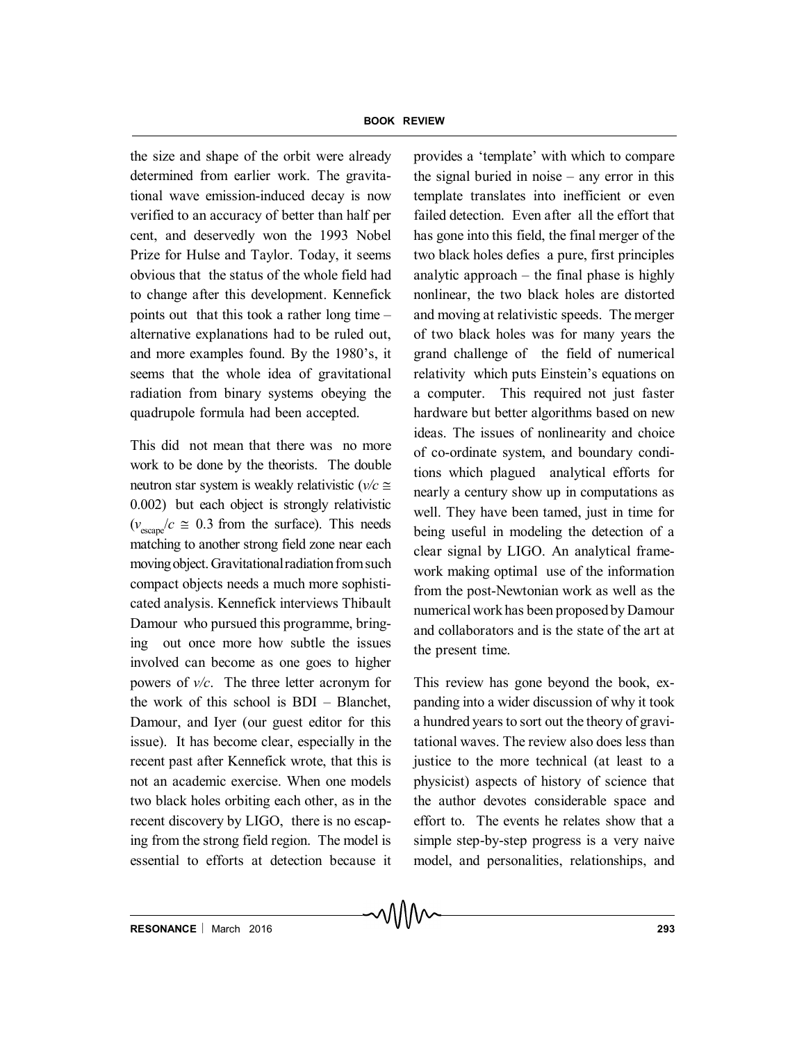the size and shape of the orbit were already determined from earlier work. The gravitational wave emission-induced decay is now verified to an accuracy of better than half per cent, and deservedly won the 1993 Nobel Prize for Hulse and Taylor. Today, it seems obvious that the status of the whole field had to change after this development. Kennefick points out that this took a rather long time – alternative explanations had to be ruled out, and more examples found. By the 1980's, it seems that the whole idea of gravitational radiation from binary systems obeying the quadrupole formula had been accepted.

This did not mean that there was no more work to be done by the theorists. The double neutron star system is weakly relativistic ( $v/c \approx$ ) but each object is strongly relativistic  $(v_{\text{escape}}/c \cong 0.3$  from the surface). This needs matching to another strong field zone near each moving object. Gravitational radiation from such compact objects needs a much more sophisticated analysis. Kennefick interviews Thibault Damour who pursued this programme, bringing out once more how subtle the issues involved can become as one goes to higher powers of *v/c*. The three letter acronym for the work of this school is BDI – Blanchet, Damour, and Iyer (our guest editor for this issue). It has become clear, especially in the recent past after Kennefick wrote, that this is not an academic exercise. When one models two black holes orbiting each other, as in the recent discovery by LIGO, there is no escaping from the strong field region. The model is essential to efforts at detection because it

provides a 'template' with which to compare the signal buried in noise – any error in this template translates into inefficient or even failed detection. Even after all the effort that has gone into this field, the final merger of the two black holes defies a pure, first principles analytic approach – the final phase is highly nonlinear, the two black holes are distorted and moving at relativistic speeds. The merger of two black holes was for many years the grand challenge of the field of numerical relativity which puts Einstein's equations on a computer. This required not just faster hardware but better algorithms based on new ideas. The issues of nonlinearity and choice of co-ordinate system, and boundary conditions which plagued analytical efforts for nearly a century show up in computations as well. They have been tamed, just in time for being useful in modeling the detection of a clear signal by LIGO. An analytical framework making optimal use of the information from the post-Newtonian work as well as the numerical work has been proposed by Damour and collaborators and is the state of the art at the present time.

This review has gone beyond the book, expanding into a wider discussion of why it took a hundred years to sort out the theory of gravitational waves. The review also does less than justice to the more technical (at least to a physicist) aspects of history of science that the author devotes considerable space and effort to. The events he relates show that a simple step-by-step progress is a very naive model, and personalities, relationships, and